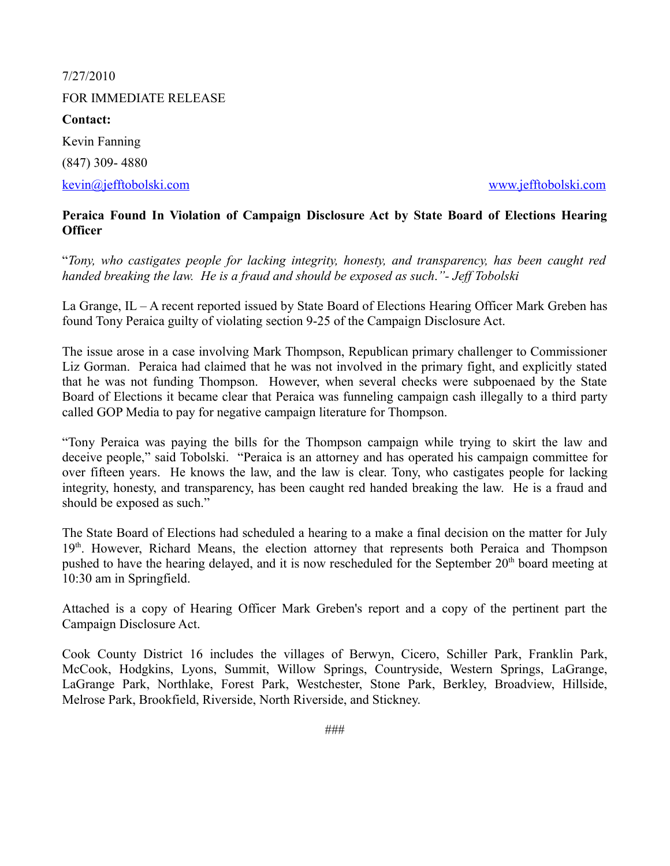7/27/2010 FOR IMMEDIATE RELEASE **Contact:** Kevin Fanning (847) 309- 4880

[kevin@jefftobolski.com](mailto:kevin@jefftobolski.com) [www.jefftobolski.com](http://www.jefftobolski.com/)

# **Peraica Found In Violation of Campaign Disclosure Act by State Board of Elections Hearing Officer**

"*Tony, who castigates people for lacking integrity, honesty, and transparency, has been caught red handed breaking the law. He is a fraud and should be exposed as such*.*"- Jeff Tobolski*

La Grange, IL – A recent reported issued by State Board of Elections Hearing Officer Mark Greben has found Tony Peraica guilty of violating section 9-25 of the Campaign Disclosure Act.

The issue arose in a case involving Mark Thompson, Republican primary challenger to Commissioner Liz Gorman. Peraica had claimed that he was not involved in the primary fight, and explicitly stated that he was not funding Thompson. However, when several checks were subpoenaed by the State Board of Elections it became clear that Peraica was funneling campaign cash illegally to a third party called GOP Media to pay for negative campaign literature for Thompson.

"Tony Peraica was paying the bills for the Thompson campaign while trying to skirt the law and deceive people," said Tobolski. "Peraica is an attorney and has operated his campaign committee for over fifteen years. He knows the law, and the law is clear. Tony, who castigates people for lacking integrity, honesty, and transparency, has been caught red handed breaking the law. He is a fraud and should be exposed as such."

The State Board of Elections had scheduled a hearing to a make a final decision on the matter for July 19<sup>th</sup>. However, Richard Means, the election attorney that represents both Peraica and Thompson pushed to have the hearing delayed, and it is now rescheduled for the September 20<sup>th</sup> board meeting at 10:30 am in Springfield.

Attached is a copy of Hearing Officer Mark Greben's report and a copy of the pertinent part the Campaign Disclosure Act.

Cook County District 16 includes the villages of Berwyn, Cicero, Schiller Park, Franklin Park, McCook, Hodgkins, Lyons, Summit, Willow Springs, Countryside, Western Springs, LaGrange, LaGrange Park, Northlake, Forest Park, Westchester, Stone Park, Berkley, Broadview, Hillside, Melrose Park, Brookfield, Riverside, North Riverside, and Stickney.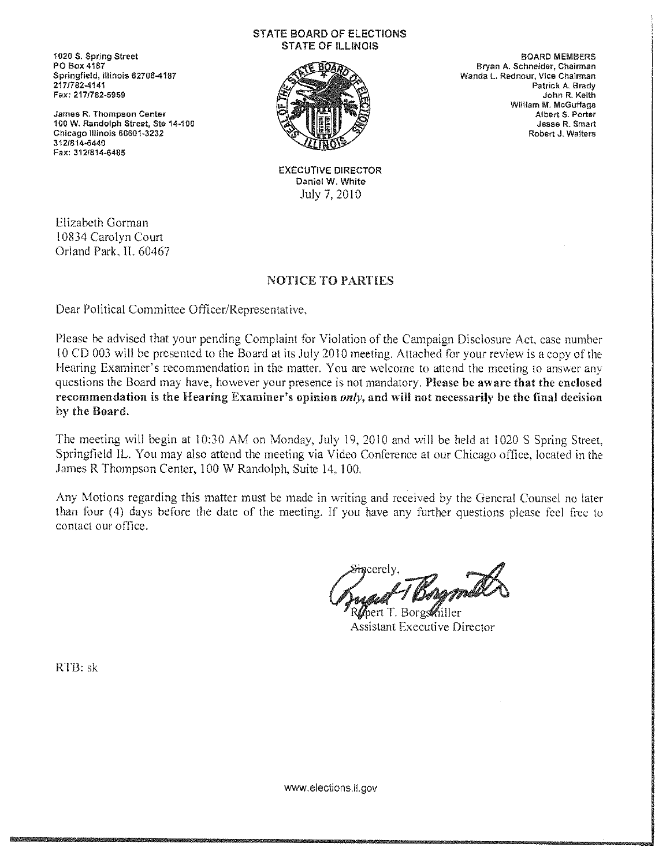1020 S. Spring Street PO Box 4187 Springfield, Illinois 62708-4187 217/782-4141 Fax: 217/782-5959

James R. Thompson Center 100 W. Randolph Street, Ste 14-100 Chicago Illinois 60601-3232 312/814-6440 Fax: 312/814-6485

#### **STATE BOARD OF ELECTIONS STATE OF ILLINOIS**



**BOARD MEMBERS** Bryan A. Schneider, Chairman Wanda L. Rednour, Vice Chairman Patrick A. Brady John R. Keith William M. McGuffage Albert S. Porter Jesse R. Smart Robert J. Walters

**EXECUTIVE DIRECTOR** Daniel W. White July 7, 2010

Elizabeth Gorman 10834 Carolyn Court Orland Park, IL 60467

# NOTICE TO PARTIES

Dear Political Committee Officer/Representative.

Please be advised that your pending Complaint for Violation of the Campaign Disclosure Act, case number 10 CD 003 will be presented to the Board at its July 2010 meeting. Attached for your review is a copy of the Hearing Examiner's recommendation in the matter. You are welcome to attend the meeting to answer any questions the Board may have, however your presence is not mandatory. Please be aware that the enclosed recommendation is the Hearing Examiner's opinion only, and will not necessarily be the final decision by the Board.

The meeting will begin at 10:30 AM on Monday, July 19, 2010 and will be held at 1020 S Spring Street. Springfield IL. You may also attend the meeting via Video Conference at our Chicago office, located in the James R Thompson Center, 100 W Randolph, Suite 14, 100.

Any Motions regarding this matter must be made in writing and received by the General Counsel no later than four (4) days before the date of the meeting. If you have any further questions please feel free to contact our office.

mcerelv.

≀ert T. Borgs**‰**iller **Assistant Executive Director** 

RTB: sk

www.elections.il.gov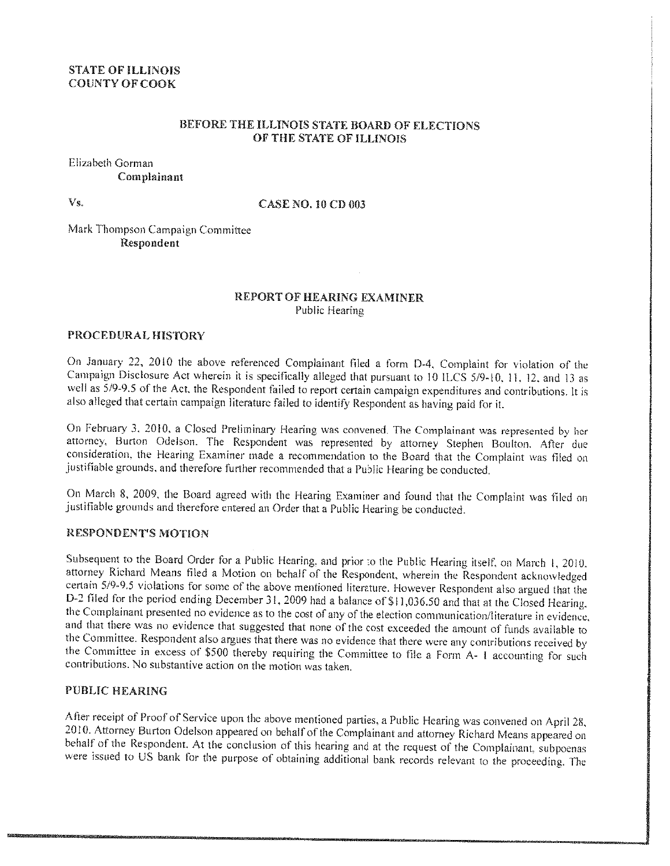# **STATE OF ILLINOIS COUNTY OF COOK**

# BEFORE THE ILLINOIS STATE BOARD OF ELECTIONS OF THE STATE OF ILLINOIS

Elizabeth Gorman Complainant

Vs.

#### **CASE NO. 10 CD 003**

Mark Thompson Campaign Committee Respondent

#### **REPORT OF HEARING EXAMINER** Public Hearing

#### PROCEDURAL HISTORY

On January 22, 2010 the above referenced Complainant filed a form D-4, Complaint for violation of the Campaign Disclosure Act wherein it is specifically alleged that pursuant to 10 ILCS 5/9-10, 11, 12, and 13 as well as 5/9-9.5 of the Act, the Respondent failed to report certain campaign expenditures and contributions. It is also alleged that certain campaign literature failed to identify Respondent as having paid for it.

On February 3, 2010, a Closed Preliminary Hearing was convened. The Complainant was represented by her attorney, Burton Odelson. The Respondent was represented by attorney Stephen Boulton. After due consideration, the Hearing Examiner made a recommendation to the Board that the Complaint was filed on justifiable grounds, and therefore further recommended that a Public Hearing be conducted.

On March 8, 2009, the Board agreed with the Hearing Examiner and found that the Complaint was filed on justifiable grounds and therefore entered an Order that a Public Hearing be conducted.

# **RESPONDENT'S MOTION**

Subsequent to the Board Order for a Public Hearing, and prior to the Public Hearing itself, on March 1, 2010, attorney Richard Means filed a Motion on behalf of the Respondent, wherein the Respondent acknowledged certain 5/9-9.5 violations for some of the above mentioned literature. However Respondent also argued that the D-2 filed for the period ending December 31, 2009 had a balance of \$11,036.50 and that at the Closed Hearing. the Complainant presented no evidence as to the cost of any of the election communication/literature in evidence, and that there was no evidence that suggested that none of the cost exceeded the amount of funds available to the Committee. Respondent also argues that there was no evidence that there were any contributions received by the Committee in excess of \$500 thereby requiring the Committee to file a Form A- I accounting for such contributions. No substantive action on the motion was taken.

# PUBLIC HEARING

After receipt of Proof of Service upon the above mentioned parties, a Public Hearing was convened on April 28, 2010. Attorney Burton Odelson appeared on behalf of the Complainant and attorney Richard Means appeared on behalf of the Respondent. At the conclusion of this hearing and at the request of the Complainant, subpoenas were issued to US bank for the purpose of obtaining additional bank records relevant to the proceeding. The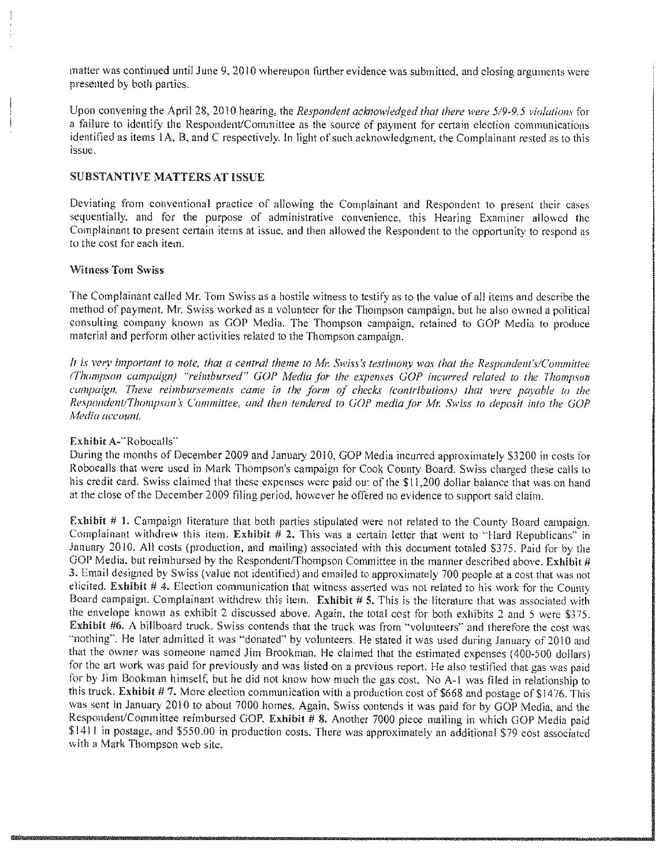matter was continued until June 9, 2010 whereupon further evidence was submitted, and closing arguments were presented by both parties.

Upon convening the April 28, 2010 hearing, the Respondent acknowledged that there were 5/9-9.5 violations for a failure to identify the Respondent/Committee as the source of payment for certain election communications identified as items 1A, B, and C respectively. In light of such acknowledgment, the Complainant rested as to this issue.

# **SUBSTANTIVE MATTERS AT ISSUE**

Deviating from conventional practice of allowing the Complainant and Respondent to present their cases sequentially, and for the purpose of administrative convenience, this Hearing Examiner allowed the Complainant to present certain items at issue, and then allowed the Respondent to the opportunity to respond as to the cost for each item.

#### **Witness Tom Swiss**

The Complainant called Mr. Tom Swiss as a hostile witness to testify as to the value of all items and describe the method of payment. Mr. Swiss worked as a volunteer for the Thompson campaign, but he also owned a political consulting company known as GOP Media. The Thompson campaign, retained to GOP Media to produce material and perform other activities related to the Thompson campaign.

It is very important to note, that a central theme to Mr. Swiss's testimony was that the Respondent's/Committee (Thompson campaign) "reimbursed" GOP Media for the expenses GOP incurred related to the Thompson cumpaign. These reimbursements came in the form of checks (contributions) that were payable to the Respondent/Thompson's Committee, and then tendered to GOP media for Mr. Swiss to deposit into the GOP Media account.

#### Exhibit A-"Robocalls"

During the months of December 2009 and January 2010, GOP Media incurred approximately \$3200 in costs for Robocalls that were used in Mark Thompson's campaign for Cook County Board. Swiss charged these calls to his credit card. Swiss claimed that these expenses were paid out of the \$11,200 dollar balance that was on hand at the close of the December 2009 filing period, however he offered no evidence to support said claim.

Exhibit  $# 1$ . Campaign literature that both parties stipulated were not related to the County Board campaign. Complainant withdrew this item. Exhibit  $# 2$ . This was a certain letter that went to "Hard Republicans" in January 2010. All costs (production, and mailing) associated with this document totaled \$375. Paid for by the GOP Media, but reimbursed by the Respondent/Thompson Committee in the manner described above. Exhibit # 3. Email designed by Swiss (value not identified) and emailed to approximately 700 people at a cost that was not elicited. Exhibit  $#$  4. Election communication that witness asserted was not related to his work for the County Board campaign. Complainant withdrew this item. Exhibit # 5. This is the literature that was associated with the envelope known as exhibit 2 discussed above. Again, the total cost for both exhibits 2 and 5 were \$375. Exhibit #6. A billboard truck. Swiss contends that the truck was from "volunteers" and therefore the cost was "nothing". He later admitted it was "donated" by volunteers. He stated it was used during January of 2010 and that the owner was someone named Jim Brookman. He claimed that the estimated expenses (400-500 dollars) for the art work was paid for previously and was listed on a previous report. He also testified that gas was paid for by Jim Bookman himself, but he did not know how much the gas cost. No A-1 was filed in relationship to this truck. Exhibit #7. More election communication with a production cost of \$668 and postage of \$1476. This was sent in January 2010 to about 7000 homes. Again, Swiss contends it was paid for by GOP Media, and the Respondent/Committee reimbursed GOP. Exhibit # 8. Another 7000 piece mailing in which GOP Media paid \$1411 in postage, and \$550.00 in production costs. There was approximately an additional \$79 cost associated with a Mark Thompson web site.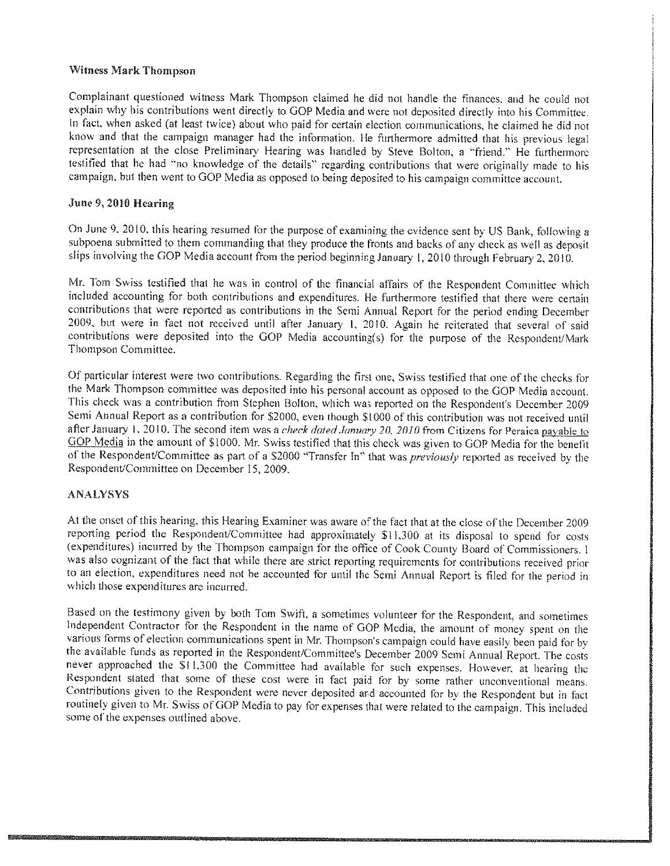# **Witness Mark Thompson**

Complainant questioned witness Mark Thompson claimed he did not handle the finances, and he could not explain why his contributions went directly to GOP Media and were not deposited directly into his Committee. In fact, when asked (at least twice) about who paid for certain election communications, he claimed he did not know and that the campaign manager had the information. He furthermore admitted that his previous legal representation at the close Preliminary Hearing was handled by Steve Bolton, a "friend." He furthermore testified that he had "no knowledge of the details" regarding contributions that were originally made to his campaign, but then went to GOP Media as opposed to being deposited to his campaign committee account.

## June 9, 2010 Hearing

On June 9, 2010, this hearing resumed for the purpose of examining the evidence sent by US Bank, following a subpoena submitted to them commanding that they produce the fronts and backs of any check as well as deposit slips involving the GOP Media account from the period beginning January 1, 2010 through February 2, 2010.

Mr. Tom Swiss testified that he was in control of the financial affairs of the Respondent Committee which included accounting for both contributions and expenditures. He furthermore testified that there were certain contributions that were reported as contributions in the Semi Annual Report for the period ending December 2009, but were in fact not received until after January 1, 2010. Again he reiterated that several of said contributions were deposited into the GOP Media accounting(s) for the purpose of the Respondent/Mark Thompson Committee.

Of particular interest were two contributions. Regarding the first one, Swiss testified that one of the checks for the Mark Thompson committee was deposited into his personal account as opposed to the GOP Media account. This check was a contribution from Stephen Bolton, which was reported on the Respondent's December 2009 Semi Annual Report as a contribution for \$2000, even though \$1000 of this contribution was not received until after January 1, 2010. The second item was a check dated January 20, 2010 from Citizens for Peraica payable to GOP Media in the amount of \$1000. Mr. Swiss testified that this check was given to GOP Media for the benefit of the Respondent/Committee as part of a \$2000 "Transfer In" that was previously reported as received by the Respondent/Committee on December 15, 2009.

#### **ANALYSYS**

At the onset of this hearing, this Hearing Examiner was aware of the fact that at the close of the December 2009 reporting period the Respondent/Committee had approximately \$11,300 at its disposal to spend for costs (expenditures) incurred by the Thompson campaign for the office of Cook County Board of Commissioners. 1 was also cognizant of the fact that while there are strict reporting requirements for contributions received prior to an election, expenditures need not be accounted for until the Semi Annual Report is filed for the period in which those expenditures are incurred.

Based on the testimony given by both Tom Swift, a sometimes volunteer for the Respondent, and sometimes Independent Contractor for the Respondent in the name of GOP Media, the amount of money spent on the various forms of election communications spent in Mr. Thompson's campaign could have easily been paid for by the available funds as reported in the Respondent/Committee's December 2009 Semi Annual Report. The costs never approached the \$11,300 the Committee had available for such expenses. However, at hearing the Respondent stated that some of these cost were in fact paid for by some rather unconventional means. Contributions given to the Respondent were never deposited and accounted for by the Respondent but in fact routinely given to Mr. Swiss of GOP Media to pay for expenses that were related to the campaign. This included some of the expenses outlined above.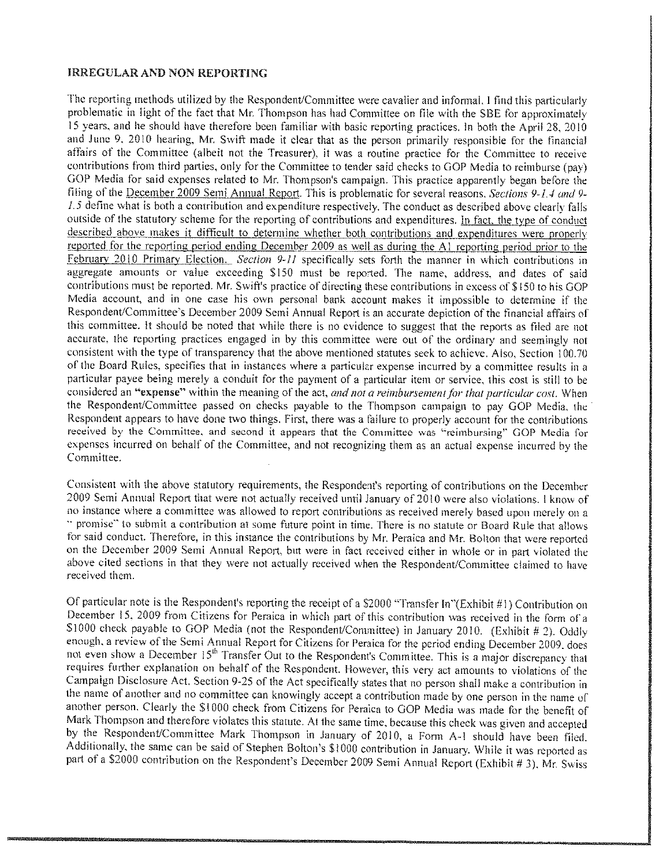# **IRREGULAR AND NON REPORTING**

The reporting methods utilized by the Respondent/Committee were cavalier and informal. I find this particularly problematic in light of the fact that Mr. Thompson has had Committee on file with the SBE for approximately 15 years, and he should have therefore been familiar with basic reporting practices. In both the April 28, 2010 and June 9, 2010 hearing, Mr. Swift made it clear that as the person primarily responsible for the financial affairs of the Committee (albeit not the Treasurer), it was a routine practice for the Committee to receive contributions from third parties, only for the Committee to tender said checks to GOP Media to reimburse (pay) GOP Media for said expenses related to Mr. Thompson's campaign. This practice apparently began before the filing of the December 2009 Semi Annual Report. This is problematic for several reasons. Sections 9-1.4 and 9-1.5 define what is both a contribution and expenditure respectively. The conduct as described above clearly falls outside of the statutory scheme for the reporting of contributions and expenditures. In fact, the type of conduct described above makes it difficult to determine whether both contributions and expenditures were properly reported for the reporting period ending December 2009 as well as during the A1 reporting period prior to the February 2010 Primary Election. Section 9-11 specifically sets forth the manner in which contributions in aggregate amounts or value exceeding \$150 must be reported. The name, address, and dates of said contributions must be reported. Mr. Swift's practice of directing these contributions in excess of \$150 to his GOP Media account, and in one case his own personal bank account makes it impossible to determine if the Respondent/Committee's December 2009 Semi Annual Report is an accurate depiction of the financial affairs of this committee. It should be noted that while there is no evidence to suggest that the reports as filed are not accurate, the reporting practices engaged in by this committee were out of the ordinary and seemingly not consistent with the type of transparency that the above mentioned statutes seek to achieve. Also, Section 100.70 of the Board Rules, specifies that in instances where a particular expense incurred by a committee results in a particular payee being merely a conduit for the payment of a particular item or service, this cost is still to be considered an "expense" within the meaning of the act, and not a reimbursement for that particular cost. When the Respondent/Committee passed on checks payable to the Thompson campaign to pay GOP Media, the Respondent appears to have done two things. First, there was a failure to properly account for the contributions received by the Committee, and second it appears that the Committee was "reimbursing" GOP Media for expenses incurred on behalf of the Committee, and not recognizing them as an actual expense incurred by the Committee.

Consistent with the above statutory requirements, the Respondent's reporting of contributions on the December 2009 Semi Annual Report that were not actually received until January of 2010 were also violations. I know of no instance where a committee was allowed to report contributions as received merely based upon merely on a " promise" to submit a contribution at some future point in time. There is no statute or Board Rule that allows for said conduct. Therefore, in this instance the contributions by Mr. Peraica and Mr. Bolton that were reported on the December 2009 Semi Annual Report, but were in fact received either in whole or in part violated the above cited sections in that they were not actually received when the Respondent/Committee claimed to have received them.

Of particular note is the Respondent's reporting the receipt of a \$2000 "Transfer In"(Exhibit #1) Contribution on December 15, 2009 from Citizens for Peraica in which part of this contribution was received in the form of a \$1000 check payable to GOP Media (not the Respondent/Committee) in January 2010. (Exhibit # 2). Oddly enough, a review of the Semi Annual Report for Citizens for Peraica for the period ending December 2009, does not even show a December 15<sup>th</sup> Transfer Out to the Respondent's Committee. This is a major discrepancy that requires further explanation on behalf of the Respondent. However, this very act amounts to violations of the Campaign Disclosure Act. Section 9-25 of the Act specifically states that no person shall make a contribution in the name of another and no committee can knowingly accept a contribution made by one person in the name of another person. Clearly the \$1000 check from Citizens for Peraica to GOP Media was made for the benefit of Mark Thompson and therefore violates this statute. At the same time, because this check was given and accepted by the Respondent/Committee Mark Thompson in January of 2010, a Form A-1 should have been filed. Additionally, the same can be said of Stephen Bolton's \$1000 contribution in January. While it was reported as part of a \$2000 contribution on the Respondent's December 2009 Semi Annual Report (Exhibit # 3), Mr. Swiss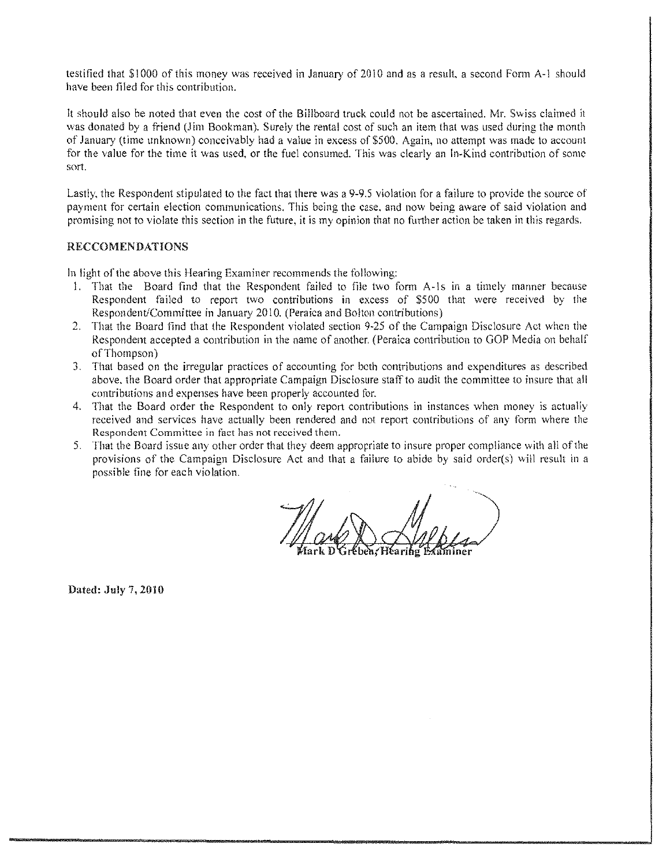testified that \$1000 of this money was received in January of 2010 and as a result, a second Form A-1 should have been filed for this contribution.

It should also be noted that even the cost of the Billboard truck could not be ascertained. Mr. Swiss claimed it was donated by a friend (Jim Bookman). Surely the rental cost of such an item that was used during the month of January (time unknown) conceivably had a value in excess of \$500. Again, no attempt was made to account for the value for the time it was used, or the fuel consumed. This was clearly an In-Kind contribution of some sort.

Lastly, the Respondent stipulated to the fact that there was a 9-9.5 violation for a failure to provide the source of payment for certain election communications. This being the case, and now being aware of said violation and promising not to violate this section in the future, it is my opinion that no further action be taken in this regards.

# **RECCOMENDATIONS**

In light of the above this Hearing Examiner recommends the following:

- 1. That the Board find that the Respondent failed to file two form A-1s in a timely manner because Respondent failed to report two contributions in excess of \$500 that were received by the Respondent/Committee in January 2010. (Peraica and Bolton contributions)
- 2. That the Board find that the Respondent violated section 9-25 of the Campaign Disclosure Act when the Respondent accepted a contribution in the name of another, (Peraica contribution to GOP Media on behalf of Thompson)
- 3. That based on the irregular practices of accounting for both contributions and expenditures as described above, the Board order that appropriate Campaign Disclosure staff to audit the committee to insure that all contributions and expenses have been properly accounted for.
- 4. That the Board order the Respondent to only report contributions in instances when money is actually received and services have actually been rendered and not report contributions of any form where the Respondent Committee in fact has not received them.
- 5. That the Board issue any other order that they deem appropriate to insure proper compliance with all of the provisions of the Campaign Disclosure Act and that a failure to abide by said order(s) will result in a possible fine for each violation.

Dated: July 7, 2010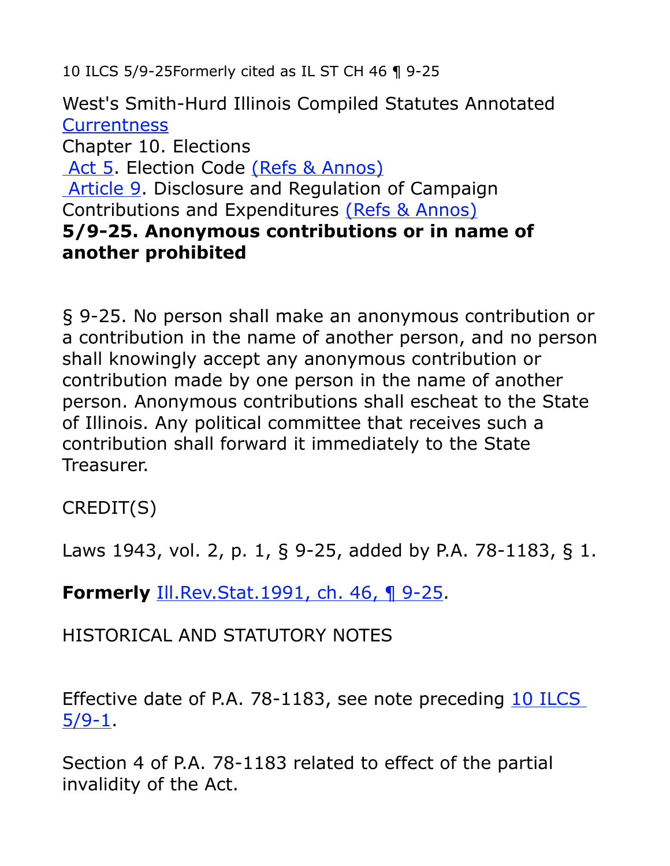10 ILCS 5/9-25Formerly cited as IL ST CH 46 ¶ 9-25

West's Smith-Hurd Illinois Compiled Statutes Annotated **[Currentness](http://web2.westlaw.com/result/documenttext.aspx?vr=2.0&findtype=L&sv=Split&rs=WLW10.06&cxt=DC&docname=ILSTCH10S5%2F9-21&disrelpos=4&rp=%2FFind%2Fdefault.wl&candisnum=1&ss=CNT&pbc=0EE27A02&db=1000008&cnt=DOC&fn=_top&n=1&scxt=WL&cfid=1&rlt=CLID_FQRLT4887892510137&ordoc=1999237476&fmqv=c&mt=Westlaw&service=Find&rlti=1#IC7FACAF0784611DF844FFFF2DE2400CD)** Chapter 10. Elections  [Act 5.](http://web2.westlaw.com/find/default.wl?sr=SB&rs=WLW10.06&jo=IL%2BST%2BCH%2B10%2B%25c2%25a7%2B5%252f9-25&ifm=NotSet&fn=_top&sv=Split&docname=PRT(002273401)+%26+BEG-DATE(%3C%3D07%2F13%2F2010)+%26+END-DATE(%3E%3D07%2F13%2F2010)+%25+CI(REFS+(DISP+%2F2+TABLE)+(MISC+%2F2+TABLE))&jh=Act+5.+Election+Code+(Refs+%26+Annos)&jl=2&pbc=23145889&ordoc=2273906&findtype=l&db=IL-ST-ANN&vr=2.0&rp=%2Ffind%2Fdefault.wl&mt=Westlaw) Election Code [\(Refs & Annos\)](http://web2.westlaw.com/find/default.wl?rs=WLW10.06&ifm=NotSet&fn=_top&sv=Split&docname=lk(ILSTCH10ACT5R)&pbc=23145889&ordoc=2273906&findtype=l&db=IL-ST-ANN&vr=2.0&rp=%2Ffind%2Fdefault.wl&mt=Westlaw)  [Article 9.](http://web2.westlaw.com/find/default.wl?sr=SB&rs=WLW10.06&jo=IL%2BST%2BCH%2B10%2B%25c2%25a7%2B5%252f9-25&ifm=NotSet&fn=_top&sv=Split&docname=PRT(002273868)+%26+BEG-DATE(%3C%3D07%2F13%2F2010)+%26+END-DATE(%3E%3D07%2F13%2F2010)+%25+CI(REFS+(DISP+%2F2+TABLE)+(MISC+%2F2+TABLE))&jh=Article+9.+Disclosure+and+Regulation+of+Campaign+Contributions+and+Expenditures+(Refs+%26+Annos)&jl=1&pbc=23145889&ordoc=2273906&findtype=l&db=IL-ST-ANN&vr=2.0&rp=%2Ffind%2Fdefault.wl&mt=Westlaw) Disclosure and Regulation of Campaign Contributions and Expenditures [\(Refs & Annos\)](http://web2.westlaw.com/find/default.wl?rs=WLW10.06&ifm=NotSet&fn=_top&sv=Split&docname=lk(ILSTCH10ACT5ART9R)&pbc=23145889&ordoc=2273906&findtype=l&db=IL-ST-ANN&vr=2.0&rp=%2Ffind%2Fdefault.wl&mt=Westlaw) **5/9-25. Anonymous contributions or in name of another prohibited**

§ 9-25. No person shall make an anonymous contribution or a contribution in the name of another person, and no person shall knowingly accept any anonymous contribution or contribution made by one person in the name of another person. Anonymous contributions shall escheat to the State of Illinois. Any political committee that receives such a contribution shall forward it immediately to the State Treasurer.

CREDIT(S)

Laws 1943, vol. 2, p. 1, § 9-25, added by P.A. 78-1183, § 1.

**Formerly** [Ill.Rev.Stat.1991, ch. 46, ¶ 9-25.](http://web2.westlaw.com/find/default.wl?tf=-1&rs=WLW10.06&fn=_top&sv=Split&docname=ILSTC46P9-25&tc=-1&pbc=23145889&ordoc=2273906&findtype=L&db=1000008&vr=2.0&rp=%2Ffind%2Fdefault.wl&mt=Westlaw)

HISTORICAL AND STATUTORY NOTES

Effective date of P.A. 78-1183, see note preceding [10 ILCS](http://web2.westlaw.com/find/default.wl?tf=-1&rs=WLW10.06&fn=_top&sv=Split&docname=ILSTCH10S5%2F9-1&tc=-1&pbc=23145889&ordoc=2273906&findtype=L&db=1000008&vr=2.0&rp=%2Ffind%2Fdefault.wl&mt=Westlaw) [5/9-1.](http://web2.westlaw.com/find/default.wl?tf=-1&rs=WLW10.06&fn=_top&sv=Split&docname=ILSTCH10S5%2F9-1&tc=-1&pbc=23145889&ordoc=2273906&findtype=L&db=1000008&vr=2.0&rp=%2Ffind%2Fdefault.wl&mt=Westlaw)

Section 4 of P.A. 78-1183 related to effect of the partial invalidity of the Act.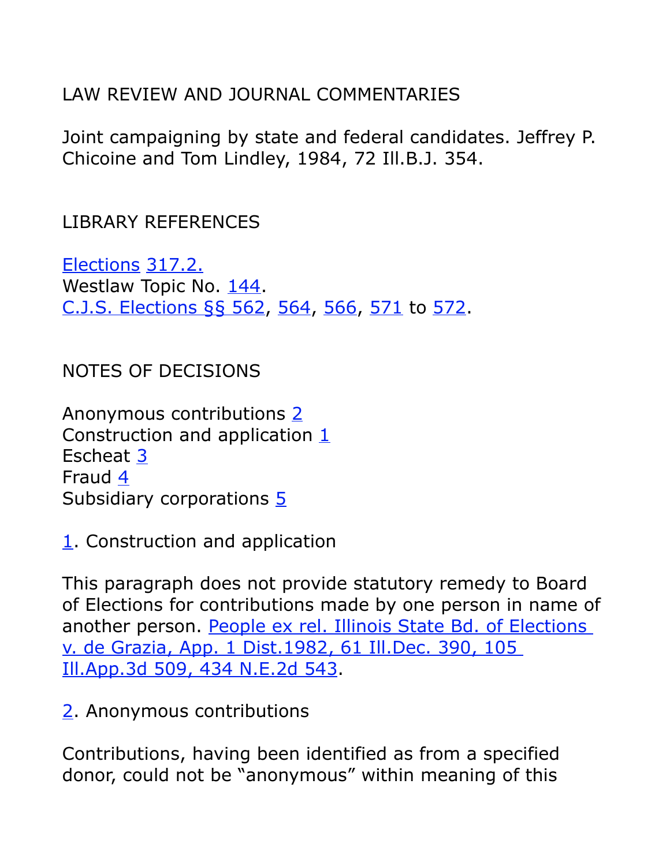LAW REVIEW AND JOURNAL COMMENTARIES

Joint campaigning by state and federal candidates. Jeffrey P. Chicoine and Tom Lindley, 1984, 72 Ill.B.J. 354.

LIBRARY REFERENCES

[Elections](http://web2.westlaw.com/digest/default.aspx?rs=WLW10.06&ifm=NotSet&fn=_top&sv=Split&pbc=23145889&docname=144&cmd=NOKEY&vr=2.0&rp=%2Fdigest%2Fdefault.aspx&mt=Westlaw) [317.2.](http://web2.westlaw.com/digest/default.aspx?rs=WLW10.06&ifm=NotSet&fn=_top&sv=Split&pbc=23145889&docname=144k317.2&cmd=NOKEY&vr=2.0&rp=%2Fdigest%2Fdefault.aspx&mt=Westlaw) Westlaw Topic No. [144.](http://web2.westlaw.com/digest/default.aspx?rs=WLW10.06&ifm=NotSet&fn=_top&sv=Split&pbc=23145889&docname=144&cmd=NOKEY&vr=2.0&rp=%2Fdigest%2Fdefault.aspx&mt=Westlaw) [C.J.S. Elections §§ 562,](http://web2.westlaw.com/find/default.wl?tf=-1&rs=WLW10.06&serialnum=0303259424&fn=_top&sv=Split&tc=-1&pbc=23145889&ordoc=2273906&findtype=Y&db=0156688&vr=2.0&rp=%2Ffind%2Fdefault.wl&mt=Westlaw) [564,](http://web2.westlaw.com/find/default.wl?tf=-1&rs=WLW10.06&serialnum=0303259426&fn=_top&sv=Split&tc=-1&pbc=23145889&ordoc=2273906&findtype=Y&db=0156688&vr=2.0&rp=%2Ffind%2Fdefault.wl&mt=Westlaw) [566,](http://web2.westlaw.com/find/default.wl?tf=-1&rs=WLW10.06&serialnum=0303259428&fn=_top&sv=Split&tc=-1&pbc=23145889&ordoc=2273906&findtype=Y&db=0156688&vr=2.0&rp=%2Ffind%2Fdefault.wl&mt=Westlaw) [571](http://web2.westlaw.com/find/default.wl?tf=-1&rs=WLW10.06&serialnum=0303259434&fn=_top&sv=Split&tc=-1&pbc=23145889&ordoc=2273906&findtype=Y&db=0156688&vr=2.0&rp=%2Ffind%2Fdefault.wl&mt=Westlaw) to [572.](http://web2.westlaw.com/find/default.wl?tf=-1&rs=WLW10.06&serialnum=0303259435&fn=_top&sv=Split&tc=-1&pbc=23145889&ordoc=2273906&findtype=Y&db=0156688&vr=2.0&rp=%2Ffind%2Fdefault.wl&mt=Westlaw)

NOTES OF DECISIONS

Anonymous contributions [2](http://web2.westlaw.com/result/documenttext.aspx?vr=2.0&findtype=L&sv=Split&rs=WLW10.06&cxt=DC&docname=ILSTCH10S5%2F9-21&disrelpos=4&rp=%2FFind%2Fdefault.wl&candisnum=1&ss=CNT&pbc=0EE27A02&db=1000008&cnt=DOC&fn=_top&n=1&scxt=WL&cfid=1&rlt=CLID_FQRLT4887892510137&ordoc=1999237476&fmqv=c&mt=Westlaw&service=Find&rlti=1#I7ED5BA60B5BF11DDAA3884F8AA31E245) Construction and application  $1$ Escheat [3](http://web2.westlaw.com/result/documenttext.aspx?vr=2.0&findtype=L&sv=Split&rs=WLW10.06&cxt=DC&docname=ILSTCH10S5%2F9-21&disrelpos=4&rp=%2FFind%2Fdefault.wl&candisnum=1&ss=CNT&pbc=0EE27A02&db=1000008&cnt=DOC&fn=_top&n=1&scxt=WL&cfid=1&rlt=CLID_FQRLT4887892510137&ordoc=1999237476&fmqv=c&mt=Westlaw&service=Find&rlti=1#I7ED656A0B5BF11DDAA3884F8AA31E245) Fraud [4](http://web2.westlaw.com/result/documenttext.aspx?vr=2.0&findtype=L&sv=Split&rs=WLW10.06&cxt=DC&docname=ILSTCH10S5%2F9-21&disrelpos=4&rp=%2FFind%2Fdefault.wl&candisnum=1&ss=CNT&pbc=0EE27A02&db=1000008&cnt=DOC&fn=_top&n=1&scxt=WL&cfid=1&rlt=CLID_FQRLT4887892510137&ordoc=1999237476&fmqv=c&mt=Westlaw&service=Find&rlti=1#I7ED6F2E0B5BF11DDAA3884F8AA31E245) Subsidiary corporations [5](http://web2.westlaw.com/result/documenttext.aspx?vr=2.0&findtype=L&sv=Split&rs=WLW10.06&cxt=DC&docname=ILSTCH10S5%2F9-21&disrelpos=4&rp=%2FFind%2Fdefault.wl&candisnum=1&ss=CNT&pbc=0EE27A02&db=1000008&cnt=DOC&fn=_top&n=1&scxt=WL&cfid=1&rlt=CLID_FQRLT4887892510137&ordoc=1999237476&fmqv=c&mt=Westlaw&service=Find&rlti=1#I7ED80450B5BF11DDAA3884F8AA31E245)

[1.](http://web2.westlaw.com/result/documenttext.aspx?vr=2.0&findtype=L&sv=Split&rs=WLW10.06&cxt=DC&docname=ILSTCH10S5%2F9-21&disrelpos=4&rp=%2FFind%2Fdefault.wl&candisnum=1&ss=CNT&pbc=0EE27A02&db=1000008&cnt=DOC&fn=_top&n=1&scxt=WL&cfid=1&rlt=CLID_FQRLT4887892510137&ordoc=1999237476&fmqv=c&mt=Westlaw&service=Find&rlti=1#I5C4E54D0E38011DE8EB6AB11B72C1D7A) Construction and application

This paragraph does not provide statutory remedy to Board of Elections for contributions made by one person in name of another person. [People ex rel. Illinois State Bd. of Elections](http://web2.westlaw.com/find/default.wl?tf=-1&rs=WLW10.06&serialnum=1982115593&fn=_top&sv=Split&tc=-1&pbc=23145889&ordoc=2273906&findtype=Y&db=0000578&vr=2.0&rp=%2Ffind%2Fdefault.wl&mt=Westlaw) [v. de Grazia, App. 1 Dist.1982, 61 Ill.Dec. 390, 105](http://web2.westlaw.com/find/default.wl?tf=-1&rs=WLW10.06&serialnum=1982115593&fn=_top&sv=Split&tc=-1&pbc=23145889&ordoc=2273906&findtype=Y&db=0000578&vr=2.0&rp=%2Ffind%2Fdefault.wl&mt=Westlaw) [Ill.App.3d 509, 434 N.E.2d 543.](http://web2.westlaw.com/find/default.wl?tf=-1&rs=WLW10.06&serialnum=1982115593&fn=_top&sv=Split&tc=-1&pbc=23145889&ordoc=2273906&findtype=Y&db=0000578&vr=2.0&rp=%2Ffind%2Fdefault.wl&mt=Westlaw)

[2.](http://web2.westlaw.com/result/documenttext.aspx?vr=2.0&findtype=L&sv=Split&rs=WLW10.06&cxt=DC&docname=ILSTCH10S5%2F9-21&disrelpos=4&rp=%2FFind%2Fdefault.wl&candisnum=1&ss=CNT&pbc=0EE27A02&db=1000008&cnt=DOC&fn=_top&n=1&scxt=WL&cfid=1&rlt=CLID_FQRLT4887892510137&ordoc=1999237476&fmqv=c&mt=Westlaw&service=Find&rlti=1#I5CB44290E38011DE8EB6AB11B72C1D7A) Anonymous contributions

Contributions, having been identified as from a specified donor, could not be "anonymous" within meaning of this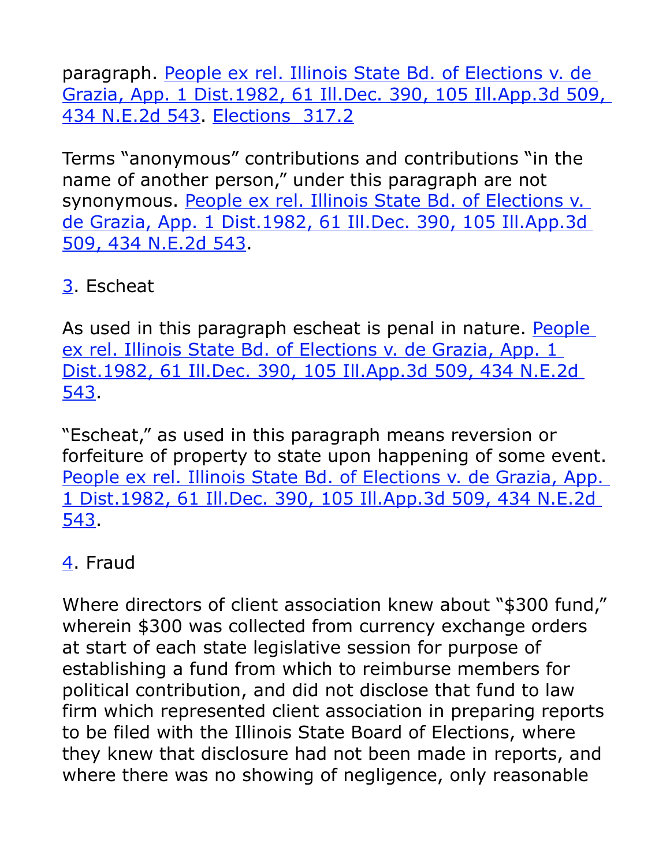paragraph. [People ex rel. Illinois State Bd. of Elections v. de](http://web2.westlaw.com/find/default.wl?tf=-1&rs=WLW10.06&serialnum=1982115593&fn=_top&sv=Split&tc=-1&pbc=23145889&ordoc=2273906&findtype=Y&db=0000578&vr=2.0&rp=%2Ffind%2Fdefault.wl&mt=Westlaw) [Grazia, App. 1 Dist.1982, 61 Ill.Dec. 390, 105 Ill.App.3d 509,](http://web2.westlaw.com/find/default.wl?tf=-1&rs=WLW10.06&serialnum=1982115593&fn=_top&sv=Split&tc=-1&pbc=23145889&ordoc=2273906&findtype=Y&db=0000578&vr=2.0&rp=%2Ffind%2Fdefault.wl&mt=Westlaw) [434 N.E.2d 543.](http://web2.westlaw.com/find/default.wl?tf=-1&rs=WLW10.06&serialnum=1982115593&fn=_top&sv=Split&tc=-1&pbc=23145889&ordoc=2273906&findtype=Y&db=0000578&vr=2.0&rp=%2Ffind%2Fdefault.wl&mt=Westlaw) [Elections 317.2](http://web2.westlaw.com/digest/default.aspx?rs=WLW10.06&ifm=NotSet&fn=_top&sv=Split&pbc=23145889&docname=144k317.2&cmd=NOKEY&vr=2.0&rp=%2Fdigest%2Fdefault.aspx&mt=Westlaw)

Terms "anonymous" contributions and contributions "in the name of another person," under this paragraph are not synonymous. [People ex rel. Illinois State Bd. of Elections v.](http://web2.westlaw.com/find/default.wl?tf=-1&rs=WLW10.06&serialnum=1982115593&fn=_top&sv=Split&tc=-1&pbc=23145889&ordoc=2273906&findtype=Y&db=0000578&vr=2.0&rp=%2Ffind%2Fdefault.wl&mt=Westlaw) [de Grazia, App. 1 Dist.1982, 61 Ill.Dec. 390, 105 Ill.App.3d](http://web2.westlaw.com/find/default.wl?tf=-1&rs=WLW10.06&serialnum=1982115593&fn=_top&sv=Split&tc=-1&pbc=23145889&ordoc=2273906&findtype=Y&db=0000578&vr=2.0&rp=%2Ffind%2Fdefault.wl&mt=Westlaw) [509, 434 N.E.2d 543.](http://web2.westlaw.com/find/default.wl?tf=-1&rs=WLW10.06&serialnum=1982115593&fn=_top&sv=Split&tc=-1&pbc=23145889&ordoc=2273906&findtype=Y&db=0000578&vr=2.0&rp=%2Ffind%2Fdefault.wl&mt=Westlaw)

# [3.](http://web2.westlaw.com/result/documenttext.aspx?vr=2.0&findtype=L&sv=Split&rs=WLW10.06&cxt=DC&docname=ILSTCH10S5%2F9-21&disrelpos=4&rp=%2FFind%2Fdefault.wl&candisnum=1&ss=CNT&pbc=0EE27A02&db=1000008&cnt=DOC&fn=_top&n=1&scxt=WL&cfid=1&rlt=CLID_FQRLT4887892510137&ordoc=1999237476&fmqv=c&mt=Westlaw&service=Find&rlti=1#I5CEBF460E38011DE8EB6AB11B72C1D7A) Escheat

As used in this paragraph escheat is penal in nature. [People](http://web2.westlaw.com/find/default.wl?tf=-1&rs=WLW10.06&serialnum=1982115593&fn=_top&sv=Split&tc=-1&pbc=23145889&ordoc=2273906&findtype=Y&db=0000578&vr=2.0&rp=%2Ffind%2Fdefault.wl&mt=Westlaw) ex rel. Illinois State Bd. of Elections v. de Grazia, App. 1 [Dist.1982, 61 Ill.Dec. 390, 105 Ill.App.3d 509, 434 N.E.2d](http://web2.westlaw.com/find/default.wl?tf=-1&rs=WLW10.06&serialnum=1982115593&fn=_top&sv=Split&tc=-1&pbc=23145889&ordoc=2273906&findtype=Y&db=0000578&vr=2.0&rp=%2Ffind%2Fdefault.wl&mt=Westlaw) [543.](http://web2.westlaw.com/find/default.wl?tf=-1&rs=WLW10.06&serialnum=1982115593&fn=_top&sv=Split&tc=-1&pbc=23145889&ordoc=2273906&findtype=Y&db=0000578&vr=2.0&rp=%2Ffind%2Fdefault.wl&mt=Westlaw)

"Escheat," as used in this paragraph means reversion or forfeiture of property to state upon happening of some event. [People ex rel. Illinois State Bd. of Elections v. de Grazia, App.](http://web2.westlaw.com/find/default.wl?tf=-1&rs=WLW10.06&serialnum=1982115593&fn=_top&sv=Split&tc=-1&pbc=23145889&ordoc=2273906&findtype=Y&db=0000578&vr=2.0&rp=%2Ffind%2Fdefault.wl&mt=Westlaw) [1 Dist.1982, 61 Ill.Dec. 390, 105 Ill.App.3d 509, 434 N.E.2d](http://web2.westlaw.com/find/default.wl?tf=-1&rs=WLW10.06&serialnum=1982115593&fn=_top&sv=Split&tc=-1&pbc=23145889&ordoc=2273906&findtype=Y&db=0000578&vr=2.0&rp=%2Ffind%2Fdefault.wl&mt=Westlaw) [543.](http://web2.westlaw.com/find/default.wl?tf=-1&rs=WLW10.06&serialnum=1982115593&fn=_top&sv=Split&tc=-1&pbc=23145889&ordoc=2273906&findtype=Y&db=0000578&vr=2.0&rp=%2Ffind%2Fdefault.wl&mt=Westlaw)

# [4.](http://web2.westlaw.com/result/documenttext.aspx?vr=2.0&findtype=L&sv=Split&rs=WLW10.06&cxt=DC&docname=ILSTCH10S5%2F9-21&disrelpos=4&rp=%2FFind%2Fdefault.wl&candisnum=1&ss=CNT&pbc=0EE27A02&db=1000008&cnt=DOC&fn=_top&n=1&scxt=WL&cfid=1&rlt=CLID_FQRLT4887892510137&ordoc=1999237476&fmqv=c&mt=Westlaw&service=Find&rlti=1#I5D1F6070E38011DE8EB6AB11B72C1D7A) Fraud

Where directors of client association knew about "\$300 fund," wherein \$300 was collected from currency exchange orders at start of each state legislative session for purpose of establishing a fund from which to reimburse members for political contribution, and did not disclose that fund to law firm which represented client association in preparing reports to be filed with the Illinois State Board of Elections, where they knew that disclosure had not been made in reports, and where there was no showing of negligence, only reasonable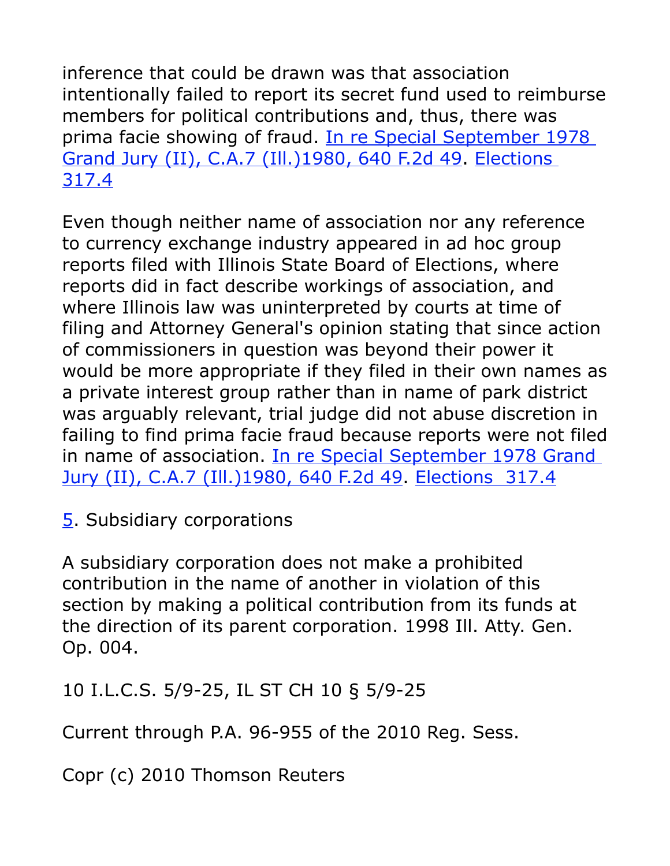inference that could be drawn was that association intentionally failed to report its secret fund used to reimburse members for political contributions and, thus, there was prima facie showing of fraud. [In re Special September 1978](http://web2.westlaw.com/find/default.wl?tf=-1&rs=WLW10.06&serialnum=1980117584&fn=_top&sv=Split&tc=-1&pbc=23145889&ordoc=2273906&findtype=Y&db=0000350&vr=2.0&rp=%2Ffind%2Fdefault.wl&mt=Westlaw) [Grand Jury \(II\), C.A.7 \(Ill.\)1980, 640 F.2d 49.](http://web2.westlaw.com/find/default.wl?tf=-1&rs=WLW10.06&serialnum=1980117584&fn=_top&sv=Split&tc=-1&pbc=23145889&ordoc=2273906&findtype=Y&db=0000350&vr=2.0&rp=%2Ffind%2Fdefault.wl&mt=Westlaw) [Elections](http://web2.westlaw.com/digest/default.aspx?rs=WLW10.06&ifm=NotSet&fn=_top&sv=Split&pbc=23145889&docname=144k317.4&cmd=NOKEY&vr=2.0&rp=%2Fdigest%2Fdefault.aspx&mt=Westlaw) [317.4](http://web2.westlaw.com/digest/default.aspx?rs=WLW10.06&ifm=NotSet&fn=_top&sv=Split&pbc=23145889&docname=144k317.4&cmd=NOKEY&vr=2.0&rp=%2Fdigest%2Fdefault.aspx&mt=Westlaw)

Even though neither name of association nor any reference to currency exchange industry appeared in ad hoc group reports filed with Illinois State Board of Elections, where reports did in fact describe workings of association, and where Illinois law was uninterpreted by courts at time of filing and Attorney General's opinion stating that since action of commissioners in question was beyond their power it would be more appropriate if they filed in their own names as a private interest group rather than in name of park district was arguably relevant, trial judge did not abuse discretion in failing to find prima facie fraud because reports were not filed in name of association. [In re Special September 1978 Grand](http://web2.westlaw.com/find/default.wl?tf=-1&rs=WLW10.06&serialnum=1980117584&fn=_top&sv=Split&tc=-1&pbc=23145889&ordoc=2273906&findtype=Y&db=0000350&vr=2.0&rp=%2Ffind%2Fdefault.wl&mt=Westlaw) [Jury \(II\), C.A.7 \(Ill.\)1980, 640 F.2d 49.](http://web2.westlaw.com/find/default.wl?tf=-1&rs=WLW10.06&serialnum=1980117584&fn=_top&sv=Split&tc=-1&pbc=23145889&ordoc=2273906&findtype=Y&db=0000350&vr=2.0&rp=%2Ffind%2Fdefault.wl&mt=Westlaw) [Elections 317.4](http://web2.westlaw.com/digest/default.aspx?rs=WLW10.06&ifm=NotSet&fn=_top&sv=Split&pbc=23145889&docname=144k317.4&cmd=NOKEY&vr=2.0&rp=%2Fdigest%2Fdefault.aspx&mt=Westlaw)

[5.](http://web2.westlaw.com/result/documenttext.aspx?vr=2.0&findtype=L&sv=Split&rs=WLW10.06&cxt=DC&docname=ILSTCH10S5%2F9-21&disrelpos=4&rp=%2FFind%2Fdefault.wl&candisnum=1&ss=CNT&pbc=0EE27A02&db=1000008&cnt=DOC&fn=_top&n=1&scxt=WL&cfid=1&rlt=CLID_FQRLT4887892510137&ordoc=1999237476&fmqv=c&mt=Westlaw&service=Find&rlti=1#I5D573950E38011DE8EB6AB11B72C1D7A) Subsidiary corporations

A subsidiary corporation does not make a prohibited contribution in the name of another in violation of this section by making a political contribution from its funds at the direction of its parent corporation. 1998 Ill. Atty. Gen. Op. 004.

10 I.L.C.S. 5/9-25, IL ST CH 10 § 5/9-25

Current through P.A. 96-955 of the 2010 Reg. Sess.

Copr (c) 2010 Thomson Reuters